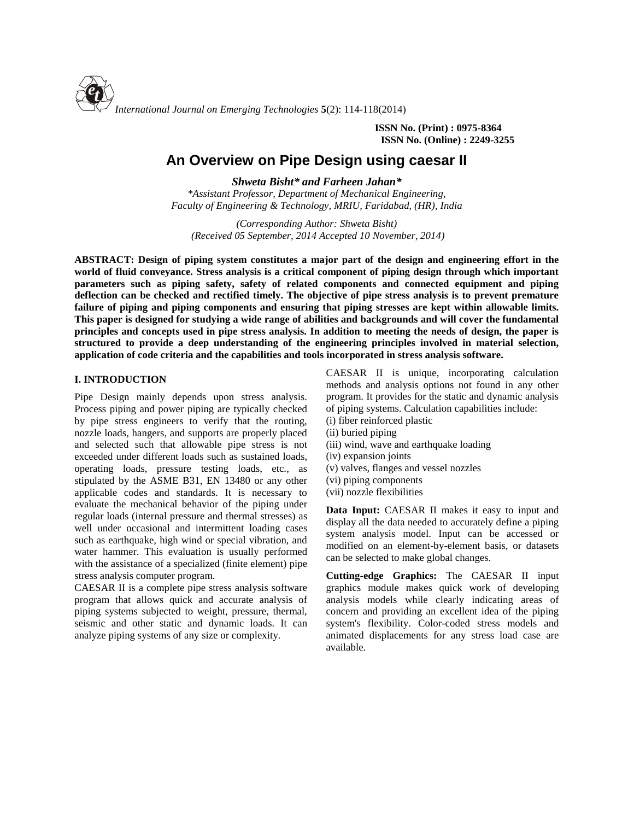

**ISSN No. (Print) : 0975-8364 ISSN No. (Online) : 2249-3255**

# **An Overview on Pipe Design using caesar II**

*Shweta Bisht\* and Farheen Jahan\* \*Assistant Professor, Department of Mechanical Engineering, Faculty of Engineering & Technology, MRIU, Faridabad, (HR), India*

*(Corresponding Author: Shweta Bisht) (Received 05 September, 2014 Accepted 10 November, 2014)*

**ABSTRACT: Design of piping system constitutes a major part of the design and engineering effort in the world of fluid conveyance. Stress analysis is a critical component of piping design through which important parameters such as piping safety, safety of related components and connected equipment and piping deflection can be checked and rectified timely. The objective of pipe stress analysis is to prevent premature failure of piping and piping components and ensuring that piping stresses are kept within allowable limits. This paper is designed for studying a wide range of abilities and backgrounds and will cover the fundamental principles and concepts used in pipe stress analysis. In addition to meeting the needs of design, the paper is structured to provide a deep understanding of the engineering principles involved in material selection, application of code criteria and the capabilities and tools incorporated in stress analysis software.**

# **I. INTRODUCTION**

Pipe Design mainly depends upon stress analysis. Process piping and power piping are typically checked by pipe stress engineers to verify that the routing, nozzle loads, hangers, and supports are properly placed and selected such that allowable pipe stress is not exceeded under different loads such as sustained loads, operating loads, pressure testing loads, etc., as stipulated by the ASME B31, EN 13480 or any other applicable codes and standards. It is necessary to evaluate the mechanical behavior of the piping under regular loads (internal pressure and thermal stresses) as well under occasional and intermittent loading cases such as earthquake, high wind or special vibration, and water hammer. This evaluation is usually performed with the assistance of a specialized (finite element) pipe stress analysis computer program.

CAESAR II is a complete pipe stress analysis software program that allows quick and accurate analysis of piping systems subjected to weight, pressure, thermal, seismic and other static and dynamic loads. It can analyze piping systems of any size or complexity.

CAESAR II is unique, incorporating calculation methods and analysis options not found in any other program. It provides for the static and dynamic analysis of piping systems. Calculation capabilities include: (i) fiber reinforced plastic

- (ii) buried piping
- (iii) wind, wave and earthquake loading
- (iv) expansion joints
- (v) valves, flanges and vessel nozzles
- (vi) piping components
- (vii) nozzle flexibilities

**Data Input:** CAESAR II makes it easy to input and display all the data needed to accurately define a piping system analysis model. Input can be accessed or modified on an element-by-element basis, or datasets can be selected to make global changes.

**Cutting-edge Graphics:** The CAESAR II input graphics module makes quick work of developing analysis models while clearly indicating areas of concern and providing an excellent idea of the piping system's flexibility. Color-coded stress models and animated displacements for any stress load case are available.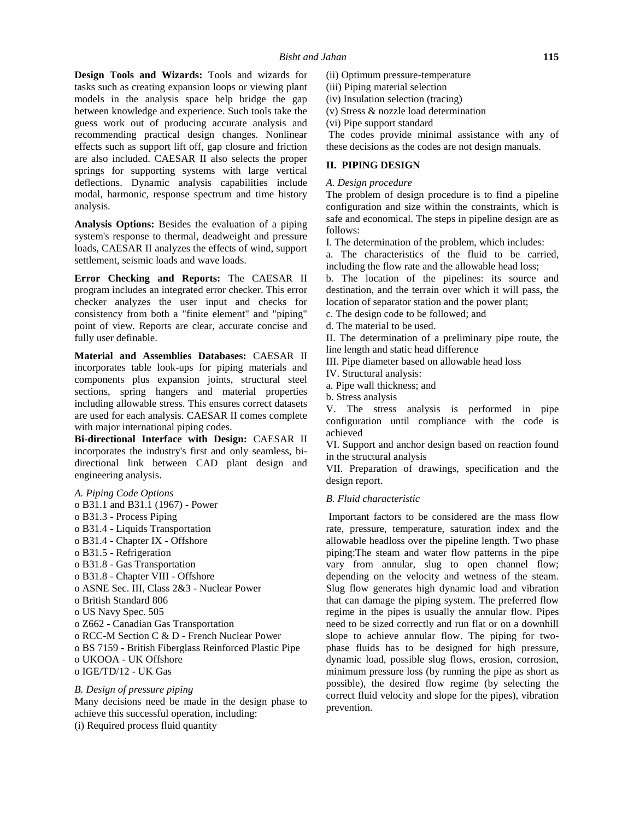**Design Tools and Wizards:** Tools and wizards for tasks such as creating expansion loops or viewing plant models in the analysis space help bridge the gap between knowledge and experience. Such tools take the guess work out of producing accurate analysis and recommending practical design changes. Nonlinear effects such as support lift off, gap closure and friction are also included. CAESAR II also selects the proper springs for supporting systems with large vertical deflections. Dynamic analysis capabilities include modal, harmonic, response spectrum and time history analysis.

**Analysis Options:** Besides the evaluation of a piping system's response to thermal, deadweight and pressure loads, CAESAR II analyzes the effects of wind, support settlement, seismic loads and wave loads.

**Error Checking and Reports:** The CAESAR II program includes an integrated error checker. This error checker analyzes the user input and checks for consistency from both a "finite element" and "piping" point of view. Reports are clear, accurate concise and fully user definable.

**Material and Assemblies Databases:** CAESAR II incorporates table look-ups for piping materials and components plus expansion joints, structural steel sections, spring hangers and material properties including allowable stress. This ensures correct datasets are used for each analysis. CAESAR II comes complete with major international piping codes.

**Bi-directional Interface with Design:** CAESAR II incorporates the industry's first and only seamless, bi directional link between CAD plant design and engineering analysis.

# *A. Piping Code Options* o B31.1 and B31.1 (1967) - Power o B31.3 - Process Piping o B31.4 - Liquids Transportation o B31.4 - Chapter IX - Offshore o B31.5 - Refrigeration o B31.8 - Gas Transportation o B31.8 - Chapter VIII - Offshore o ASNE Sec. III, Class 2&3 - Nuclear Power o British Standard 806 o US Navy Spec. 505 o Z662 - Canadian Gas Transportation o RCC-M Section C & D - French Nuclear Power o BS 7159 - British Fiberglass Reinforced Plastic Pipe o UKOOA - UK Offshore o IGE/TD/12 - UK Gas

# *B. Design of pressure piping* Many decisions need be made in the design phase to

achieve this successful operation, including: (i) Required process fluid quantity

(ii) Optimum pressure-temperature

- (iii) Piping material selection
- (iv) Insulation selection (tracing)
- (v) Stress & nozzle load determination
- (vi) Pipe support standard

The codes provide minimal assistance with any of these decisions as the codes are not design manuals.

# **II. PIPING DESIGN**

## *A. Design procedure*

The problem of design procedure is to find a pipeline configuration and size within the constraints, which is safe and economical. The steps in pipeline design are as follows:

I. The determination of the problem, which includes:

a. The characteristics of the fluid to be carried, including the flow rate and the allowable head loss;

b. The location of the pipelines: its source and destination, and the terrain over which it will pass, the location of separator station and the power plant;

c. The design code to be followed; and

d. The material to be used.

II. The determination of a preliminary pipe route, the line length and static head difference

III. Pipe diameter based on allowable head loss

IV. Structural analysis:

a. Pipe wall thickness; and

b. Stress analysis

V. The stress analysis is performed in pipe configuration until compliance with the code is achieved

VI. Support and anchor design based on reaction found in the structural analysis

VII. Preparation of drawings, specification and the design report.

## *B. Fluid characteristic*

Important factors to be considered are the mass flow rate, pressure, temperature, saturation index and the allowable headloss over the pipeline length. Two phase piping:The steam and water flow patterns in the pipe vary from annular, slug to open channel flow; depending on the velocity and wetness of the steam. Slug flow generates high dynamic load and vibration that can damage the piping system. The preferred flow regime in the pipes is usually the annular flow. Pipes need to be sized correctly and run flat or on a downhill slope to achieve annular flow. The piping for two phase fluids has to be designed for high pressure, dynamic load, possible slug flows, erosion, corrosion, minimum pressure loss (by running the pipe as short as possible), the desired flow regime (by selecting the correct fluid velocity and slope for the pipes), vibration prevention.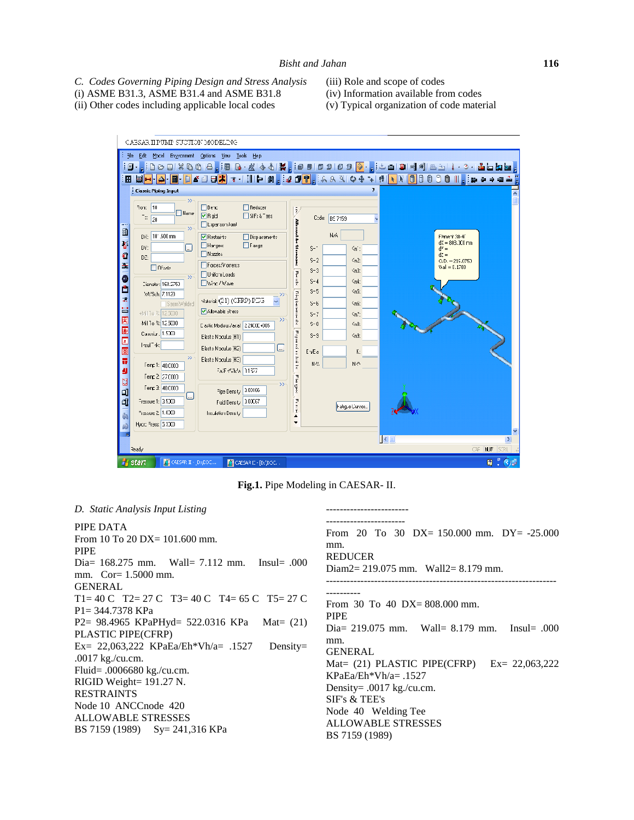*C. Codes Governing Piping Design and Stress Analysis* (i) ASME B31.3, ASME B31.4 and ASME B31.8

(ii) Other codes including applicable local codes

- (iii) Role and scope of codes
- (iv) Information available from codes
- (v) Typical organization of code material



**Fig.1.** Pipe Modeling in CAESAR- II.

------------------------

#### *D. Static Analysis Input Listing*

PIPE DATA From 10 To 20 DX= 101.600 mm. PIPE Dia= 168.275 mm. Wall= 7.112 mm. Insul= .000 mm. Cor= 1.5000 mm. GENERAL T1= 40 C T2= 27 C T3= 40 C T4= 65 C T5= 27 C P1= 344.7378 KPa P2= 98.4965 KPaPHyd= 522.0316 KPa Mat= (21) PLASTIC PIPE(CFRP) Ex=  $22,063,222$  KPaEa/Eh\*Vh/a= .1527 Density= .0017 kg./cu.cm. Fluid= .0006680 kg./cu.cm. RIGID Weight= 191.27 N. RESTRAINTS Node 10 ANCCnode 420 ALLOWABLE STRESSES BS 7159 (1989) Sy= 241,316 KPa ----------------------- From 20 To 30 DX= 150.000 mm. DY= -25.000 mm. REDUCER Diam2= 219.075 mm. Wall2= 8.179 mm. ------------------------------------------------------------------- ---------- From 30 To 40 DX= 808.000 mm. PIPE Dia= 219.075 mm. Wall= 8.179 mm. Insul= .000 mm. GENERAL Mat= (21) PLASTIC PIPE(CFRP) Ex= 22,063,222 KPaEa/Eh\*Vh/a= .1527 Density= .0017 kg./cu.cm. SIF's & TEE's Node 40 Welding Tee ALLOWABLE STRESSES BS 7159 (1989)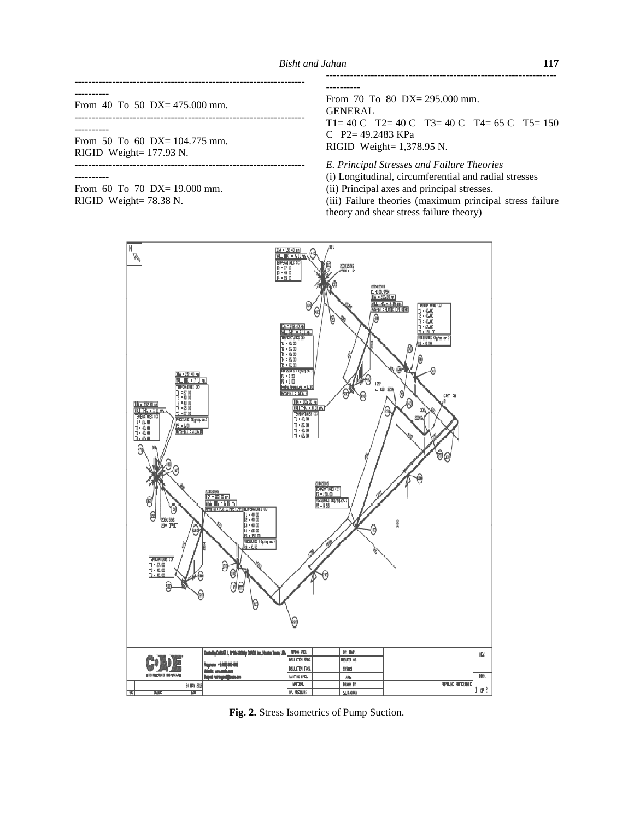----------

From 40 To 50 DX= 475.000 mm.

-------------------------------------------------------------------

-------------------------------------------------------------------

-------------------------------------------------------------------

----------

From 50 To 60 DX= 104.775 mm. RIGID Weight= 177.93 N.

----------

From 60 To 70 DX= 19.000 mm. RIGID Weight= 78.38 N.



From 70 To 80 DX= 295.000 mm. GENERAL T1= 40 C T2= 40 C T3= 40 C T4= 65 C T5= 150 C P2= 49.2483 KPa RIGID Weight= 1,378.95 N.

-------------------------------------------------------------------

*E. Principal Stresses and Failure Theories* (i) Longitudinal, circumferential and radial stresses (ii) Principal axes and principal stresses. (iii) Failure theories (maximum principal stress failure



**Fig. 2.** Stress Isometrics of Pump Suction.